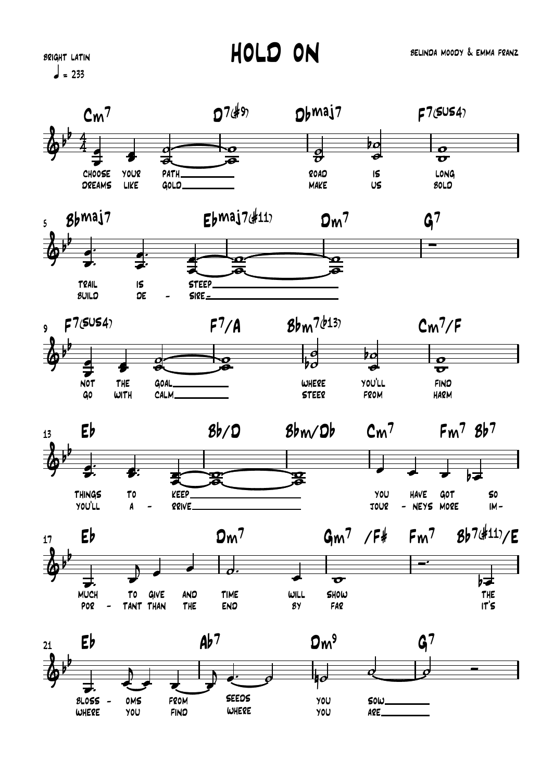